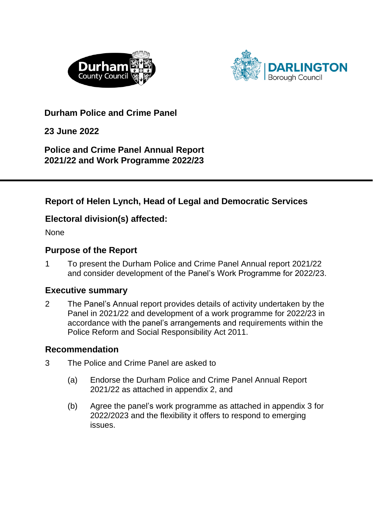



**Durham Police and Crime Panel** 

**23 June 2022**

**Police and Crime Panel Annual Report 2021/22 and Work Programme 2022/23**

### **Report of Helen Lynch, Head of Legal and Democratic Services**

### **Electoral division(s) affected:**

None

### **Purpose of the Report**

1 To present the Durham Police and Crime Panel Annual report 2021/22 and consider development of the Panel's Work Programme for 2022/23.

### **Executive summary**

2 The Panel's Annual report provides details of activity undertaken by the Panel in 2021/22 and development of a work programme for 2022/23 in accordance with the panel's arrangements and requirements within the Police Reform and Social Responsibility Act 2011.

### **Recommendation**

- 3 The Police and Crime Panel are asked to
	- (a) Endorse the Durham Police and Crime Panel Annual Report 2021/22 as attached in appendix 2, and
	- (b) Agree the panel's work programme as attached in appendix 3 for 2022/2023 and the flexibility it offers to respond to emerging issues.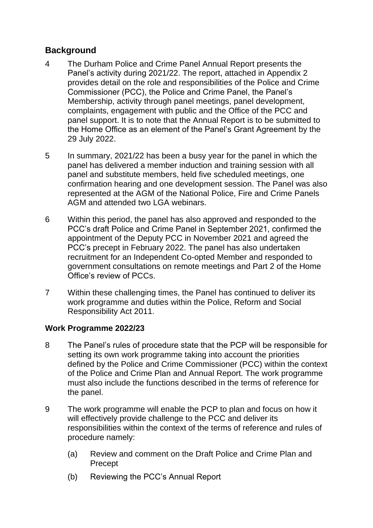### **Background**

- 4 The Durham Police and Crime Panel Annual Report presents the Panel's activity during 2021/22. The report, attached in Appendix 2 provides detail on the role and responsibilities of the Police and Crime Commissioner (PCC), the Police and Crime Panel, the Panel's Membership, activity through panel meetings, panel development, complaints, engagement with public and the Office of the PCC and panel support. It is to note that the Annual Report is to be submitted to the Home Office as an element of the Panel's Grant Agreement by the 29 July 2022.
- 5 In summary, 2021/22 has been a busy year for the panel in which the panel has delivered a member induction and training session with all panel and substitute members, held five scheduled meetings, one confirmation hearing and one development session. The Panel was also represented at the AGM of the National Police, Fire and Crime Panels AGM and attended two LGA webinars.
- 6 Within this period, the panel has also approved and responded to the PCC's draft Police and Crime Panel in September 2021, confirmed the appointment of the Deputy PCC in November 2021 and agreed the PCC's precept in February 2022. The panel has also undertaken recruitment for an Independent Co-opted Member and responded to government consultations on remote meetings and Part 2 of the Home Office's review of PCCs.
- 7 Within these challenging times, the Panel has continued to deliver its work programme and duties within the Police, Reform and Social Responsibility Act 2011.

#### **Work Programme 2022/23**

- 8 The Panel's rules of procedure state that the PCP will be responsible for setting its own work programme taking into account the priorities defined by the Police and Crime Commissioner (PCC) within the context of the Police and Crime Plan and Annual Report. The work programme must also include the functions described in the terms of reference for the panel.
- 9 The work programme will enable the PCP to plan and focus on how it will effectively provide challenge to the PCC and deliver its responsibilities within the context of the terms of reference and rules of procedure namely:
	- (a) Review and comment on the Draft Police and Crime Plan and Precept
	- (b) Reviewing the PCC's Annual Report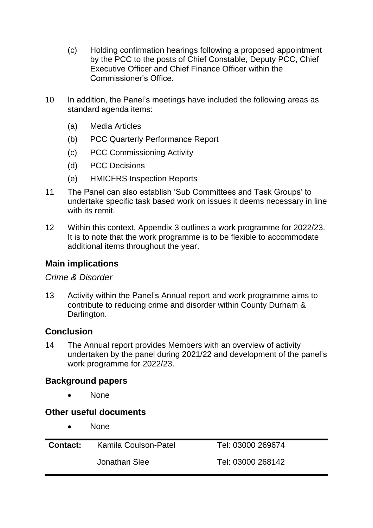- (c) Holding confirmation hearings following a proposed appointment by the PCC to the posts of Chief Constable, Deputy PCC, Chief Executive Officer and Chief Finance Officer within the Commissioner's Office.
- 10 In addition, the Panel's meetings have included the following areas as standard agenda items:
	- (a) Media Articles
	- (b) PCC Quarterly Performance Report
	- (c) PCC Commissioning Activity
	- (d) PCC Decisions
	- (e) HMICFRS Inspection Reports
- 11 The Panel can also establish 'Sub Committees and Task Groups' to undertake specific task based work on issues it deems necessary in line with its remit.
- 12 Within this context, Appendix 3 outlines a work programme for 2022/23. It is to note that the work programme is to be flexible to accommodate additional items throughout the year.

### **Main implications**

#### *Crime & Disorder*

13 Activity within the Panel's Annual report and work programme aims to contribute to reducing crime and disorder within County Durham & Darlington.

### **Conclusion**

14 The Annual report provides Members with an overview of activity undertaken by the panel during 2021/22 and development of the panel's work programme for 2022/23.

### **Background papers**

None

### **Other useful documents**

• None

| <b>Contact:</b> | Kamila Coulson-Patel | Tel: 03000 269674 |
|-----------------|----------------------|-------------------|
|                 | Jonathan Slee        | Tel: 03000 268142 |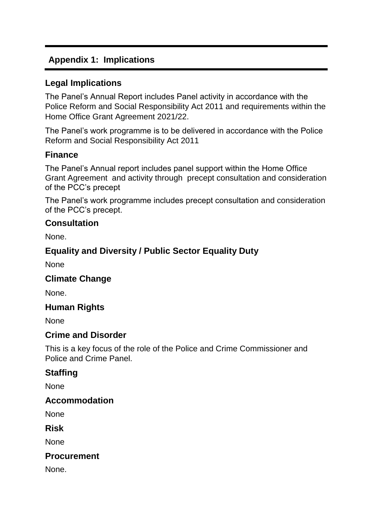### **Appendix 1: Implications**

### **Legal Implications**

The Panel's Annual Report includes Panel activity in accordance with the Police Reform and Social Responsibility Act 2011 and requirements within the Home Office Grant Agreement 2021/22.

The Panel's work programme is to be delivered in accordance with the Police Reform and Social Responsibility Act 2011

### **Finance**

The Panel's Annual report includes panel support within the Home Office Grant Agreement and activity through precept consultation and consideration of the PCC's precept

The Panel's work programme includes precept consultation and consideration of the PCC's precept.

### **Consultation**

None.

### **Equality and Diversity / Public Sector Equality Duty**

None

### **Climate Change**

None.

### **Human Rights**

None

### **Crime and Disorder**

This is a key focus of the role of the Police and Crime Commissioner and Police and Crime Panel.

### **Staffing**

None

### **Accommodation**

None

**Risk**

None

### **Procurement**

None.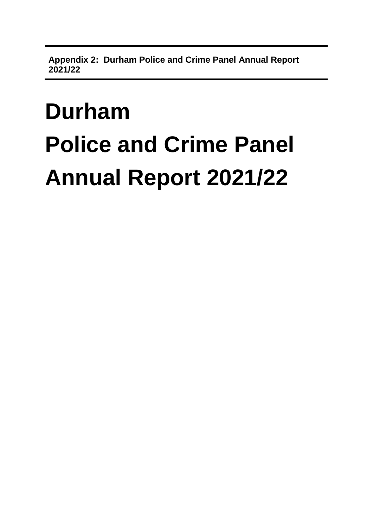**Appendix 2: Durham Police and Crime Panel Annual Report 2021/22**

# **Durham Police and Crime Panel Annual Report 2021/22**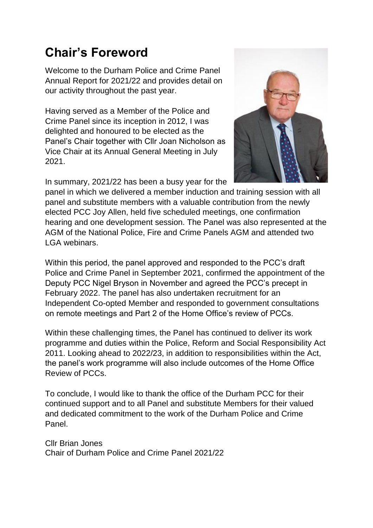# **Chair's Foreword**

Welcome to the Durham Police and Crime Panel Annual Report for 2021/22 and provides detail on our activity throughout the past year.

Having served as a Member of the Police and Crime Panel since its inception in 2012, I was delighted and honoured to be elected as the Panel's Chair together with Cllr Joan Nicholson as Vice Chair at its Annual General Meeting in July 2021.

In summary, 2021/22 has been a busy year for the



panel in which we delivered a member induction and training session with all panel and substitute members with a valuable contribution from the newly elected PCC Joy Allen, held five scheduled meetings, one confirmation hearing and one development session. The Panel was also represented at the AGM of the National Police, Fire and Crime Panels AGM and attended two LGA webinars.

Within this period, the panel approved and responded to the PCC's draft Police and Crime Panel in September 2021, confirmed the appointment of the Deputy PCC Nigel Bryson in November and agreed the PCC's precept in February 2022. The panel has also undertaken recruitment for an Independent Co-opted Member and responded to government consultations on remote meetings and Part 2 of the Home Office's review of PCCs.

Within these challenging times, the Panel has continued to deliver its work programme and duties within the Police, Reform and Social Responsibility Act 2011. Looking ahead to 2022/23, in addition to responsibilities within the Act, the panel's work programme will also include outcomes of the Home Office Review of PCCs.

To conclude, I would like to thank the office of the Durham PCC for their continued support and to all Panel and substitute Members for their valued and dedicated commitment to the work of the Durham Police and Crime Panel.

Cllr Brian Jones Chair of Durham Police and Crime Panel 2021/22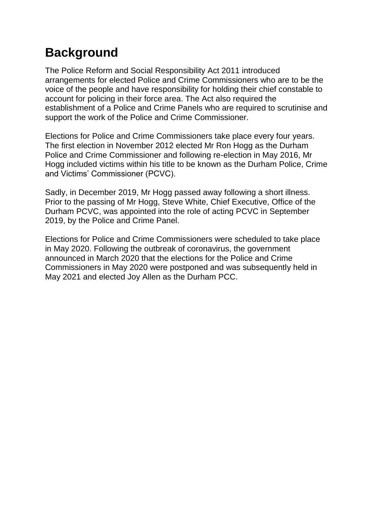# **Background**

The Police Reform and Social Responsibility Act 2011 introduced arrangements for elected Police and Crime Commissioners who are to be the voice of the people and have responsibility for holding their chief constable to account for policing in their force area. The Act also required the establishment of a Police and Crime Panels who are required to scrutinise and support the work of the Police and Crime Commissioner.

Elections for Police and Crime Commissioners take place every four years. The first election in November 2012 elected Mr Ron Hogg as the Durham Police and Crime Commissioner and following re-election in May 2016, Mr Hogg included victims within his title to be known as the Durham Police, Crime and Victims' Commissioner (PCVC).

Sadly, in December 2019, Mr Hogg passed away following a short illness. Prior to the passing of Mr Hogg, Steve White, Chief Executive, Office of the Durham PCVC, was appointed into the role of acting PCVC in September 2019, by the Police and Crime Panel.

Elections for Police and Crime Commissioners were scheduled to take place in May 2020. Following the outbreak of coronavirus, the government announced in March 2020 that the elections for the Police and Crime Commissioners in May 2020 were postponed and was subsequently held in May 2021 and elected Joy Allen as the Durham PCC.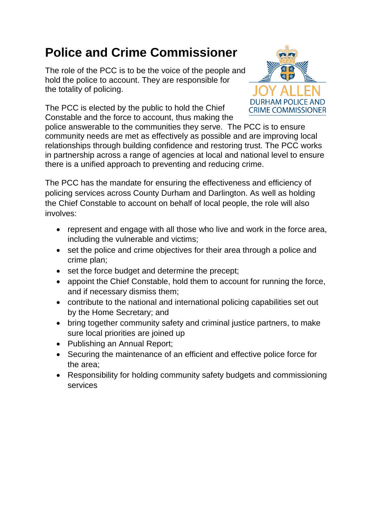# **Police and Crime Commissioner**

The role of the PCC is to be the voice of the people and hold the police to account. They are responsible for the totality of policing.

The PCC is elected by the public to hold the Chief Constable and the force to account, thus making the



police answerable to the communities they serve. The PCC is to ensure community needs are met as effectively as possible and are improving local relationships through building confidence and restoring trust. The PCC works in partnership across a range of agencies at local and national level to ensure there is a unified approach to preventing and reducing crime.

The PCC has the mandate for ensuring the effectiveness and efficiency of policing services across County Durham and Darlington. As well as holding the Chief Constable to account on behalf of local people, the role will also involves:

- represent and engage with all those who live and work in the force area, including the vulnerable and victims;
- set the police and crime objectives for their area through a police and crime plan;
- set the force budget and determine the precept;
- appoint the Chief Constable, hold them to account for running the force, and if necessary dismiss them;
- contribute to the national and international policing capabilities set out by the Home Secretary; and
- bring together community safety and criminal justice partners, to make sure local priorities are joined up
- Publishing an Annual Report;
- Securing the maintenance of an efficient and effective police force for the area;
- Responsibility for holding community safety budgets and commissioning services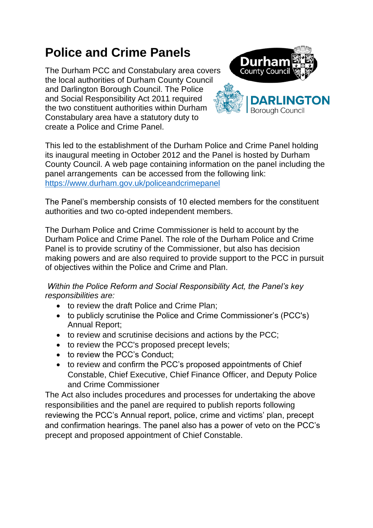# **Police and Crime Panels**

The Durham PCC and Constabulary area covers the local authorities of Durham County Council and Darlington Borough Council. The Police and Social Responsibility Act 2011 required the two constituent authorities within Durham Constabulary area have a statutory duty to create a Police and Crime Panel.



This led to the establishment of the Durham Police and Crime Panel holding its inaugural meeting in October 2012 and the Panel is hosted by Durham County Council. A web page containing information on the panel including the panel arrangements can be accessed from the following link: <https://www.durham.gov.uk/policeandcrimepanel>

The Panel's membership consists of 10 elected members for the constituent authorities and two co-opted independent members.

The Durham Police and Crime Commissioner is held to account by the Durham Police and Crime Panel. The role of the Durham Police and Crime Panel is to provide scrutiny of the Commissioner, but also has decision making powers and are also required to provide support to the PCC in pursuit of objectives within the Police and Crime and Plan.

*Within the Police Reform and Social Responsibility Act, the Panel's key responsibilities are:* 

- to review the draft Police and Crime Plan;
- to publicly scrutinise the Police and Crime Commissioner's (PCC's) Annual Report;
- to review and scrutinise decisions and actions by the PCC;
- to review the PCC's proposed precept levels;
- to review the PCC's Conduct:
- to review and confirm the PCC's proposed appointments of Chief Constable, Chief Executive, Chief Finance Officer, and Deputy Police and Crime Commissioner

The Act also includes procedures and processes for undertaking the above responsibilities and the panel are required to publish reports following reviewing the PCC's Annual report, police, crime and victims' plan, precept and confirmation hearings. The panel also has a power of veto on the PCC's precept and proposed appointment of Chief Constable.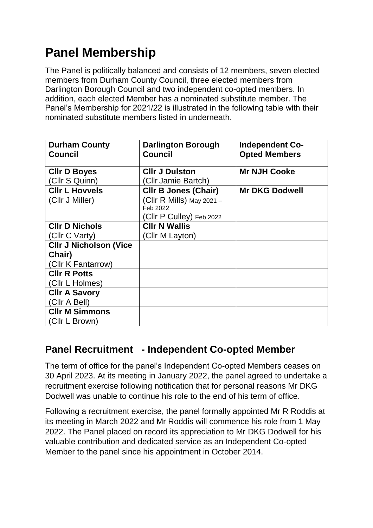# **Panel Membership**

The Panel is politically balanced and consists of 12 members, seven elected members from Durham County Council, three elected members from Darlington Borough Council and two independent co-opted members. In addition, each elected Member has a nominated substitute member. The Panel's Membership for 2021/22 is illustrated in the following table with their nominated substitute members listed in underneath.

| <b>Durham County</b>          | <b>Darlington Borough</b>   | <b>Independent Co-</b> |
|-------------------------------|-----------------------------|------------------------|
| <b>Council</b>                | <b>Council</b>              | <b>Opted Members</b>   |
| <b>CIIr D Boyes</b>           | <b>CIIr J Dulston</b>       | <b>Mr NJH Cooke</b>    |
| (Cllr S Quinn)                | (Cllr Jamie Bartch)         |                        |
| <b>CIIr L Hovvels</b>         | <b>CIIr B Jones (Chair)</b> | <b>Mr DKG Dodwell</b>  |
| (Cllr J Miller)               | (CIIr R Mills) May 2021 -   |                        |
|                               | Feb 2022                    |                        |
|                               | (Cllr P Culley) Feb 2022    |                        |
| <b>CIIr D Nichols</b>         | <b>CIIr N Wallis</b>        |                        |
| (Cllr C Varty)                | (Cllr M Layton)             |                        |
| <b>CIIr J Nicholson (Vice</b> |                             |                        |
| Chair)                        |                             |                        |
| (Cllr K Fantarrow)            |                             |                        |
| <b>CIIr R Potts</b>           |                             |                        |
| (Cllr L Holmes)               |                             |                        |
| <b>CIIr A Savory</b>          |                             |                        |
| (Cllr A Bell)                 |                             |                        |
| <b>CIIr M Simmons</b>         |                             |                        |
| (Cllr L Brown)                |                             |                        |

## **Panel Recruitment - Independent Co-opted Member**

The term of office for the panel's Independent Co-opted Members ceases on 30 April 2023. At its meeting in January 2022, the panel agreed to undertake a recruitment exercise following notification that for personal reasons Mr DKG Dodwell was unable to continue his role to the end of his term of office.

Following a recruitment exercise, the panel formally appointed Mr R Roddis at its meeting in March 2022 and Mr Roddis will commence his role from 1 May 2022. The Panel placed on record its appreciation to Mr DKG Dodwell for his valuable contribution and dedicated service as an Independent Co-opted Member to the panel since his appointment in October 2014.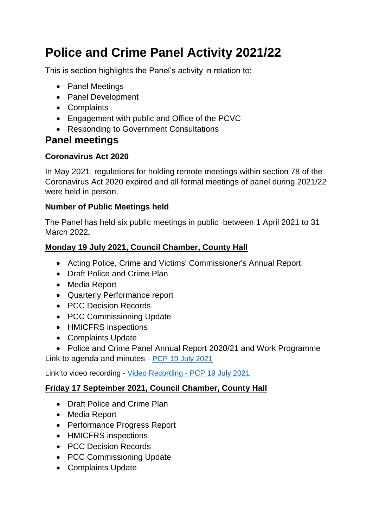# **Police and Crime Panel Activity 2021/22**

This is section highlights the Panel's activity in relation to:

- Panel Meetings
- Panel Development
- Complaints
- Engagement with public and Office of the PCVC
- Responding to Government Consultations

# **Panel meetings**

### **Coronavirus Act 2020**

In May 2021, regulations for holding remote meetings within section 78 of the Coronavirus Act 2020 expired and all formal meetings of panel during 2021/22 were held in person.

### **Number of Public Meetings held**

The Panel has held six public meetings in public between 1 April 2021 to 31 March 2022**.** 

### **Monday 19 July 2021, Council Chamber, County Hall**

- Acting Police, Crime and Victims' Commissioner's Annual Report
- Draft Police and Crime Plan
- Media Report
- Quarterly Performance report
- PCC Decision Records
- PCC Commissioning Update
- HMICFRS inspections
- Complaints Update
- Police and Crime Panel Annual Report 2020/21 and Work Programme

Link to agenda and minutes - PCP [19 July 2021](https://democracy.durham.gov.uk/ieListDocuments.aspx?CId=872&MId=12885&Ver=4)

Link to video recording - [Video Recording -](Video%20Recording%20-%20PCP%2019%20July%202021) PCP 19 July 2021

### **Friday 17 September 2021, Council Chamber, County Hall**

- Draft Police and Crime Plan
- Media Report
- Performance Progress Report
- HMICFRS inspections
- PCC Decision Records
- PCC Commissioning Update
- Complaints Update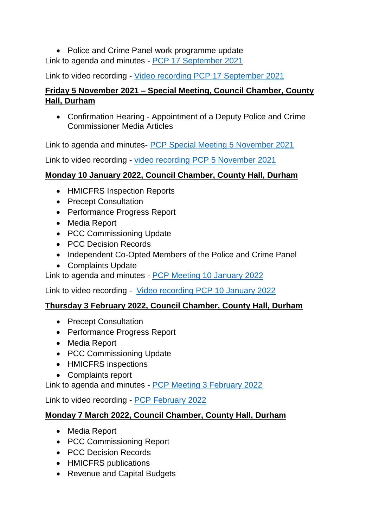• Police and Crime Panel work programme update Link to agenda and minutes - [PCP 17 September 2021](https://democracy.durham.gov.uk/ieListDocuments.aspx?CId=872&MId=13058&Ver=4)

Link to video recording - [Video recording PCP 17 September 2021](Video%20recording%20PCP%2017%20September%202021)

### **Friday 5 November 2021 – Special Meeting, Council Chamber, County Hall, Durham**

 Confirmation Hearing - Appointment of a Deputy Police and Crime Commissioner Media Articles

Link to agenda and minutes- [PCP Special Meeting 5 November 2021](file://///duch-2910/CorpLegal/CSEC/Overview%20&%20Scrutiny/OS%20SHARED%20FOLDERS/PCP/2021%20-%2022%20PCP%20Grant%20Claim/Outturn%20forecast/PCP%20Special%20Meeting%205%20November%202021)

Link to video recording - [video recording PCP 5 November 2021](video%20recording%20PCP%205%20November%202021)

### **Monday 10 January 2022, Council Chamber, County Hall, Durham**

- HMICFRS Inspection Reports
- Precept Consultation
- Performance Progress Report
- Media Report
- PCC Commissioning Update
- PCC Decision Records
- Independent Co-Opted Members of the Police and Crime Panel
- Complaints Update

Link to agenda and minutes - [PCP Meeting 10 January 2022](file://///duch-2910/CorpLegal/CSEC/Overview%20&%20Scrutiny/OS%20SHARED%20FOLDERS/PCP/2021%20-%2022%20PCP%20Grant%20Claim/Outturn%20forecast/PCP%20Meeting%2010%20January%202022)

Link to video recording - [Video recording PCP 10 January 2022](Video%20recording%20PCP%2010%20January%202022)

### **Thursday 3 February 2022, Council Chamber, County Hall, Durham**

- Precept Consultation
- Performance Progress Report
- Media Report
- PCC Commissioning Update
- HMICFRS inspections
- Complaints report

Link to agenda and minutes - [PCP Meeting 3 February 2022](file://///duch-2910/CorpLegal/CSEC/Overview%20&%20Scrutiny/OS%20SHARED%20FOLDERS/PCP/2021%20-%2022%20PCP%20Grant%20Claim/Outturn%20forecast/PCP%20Meeting%203%20February%202022)

Link to video recording - [PCP February 2022](PCP%20February%202022)

### **Monday 7 March 2022, Council Chamber, County Hall, Durham**

- Media Report
- PCC Commissioning Report
- PCC Decision Records
- HMICFRS publications
- Revenue and Capital Budgets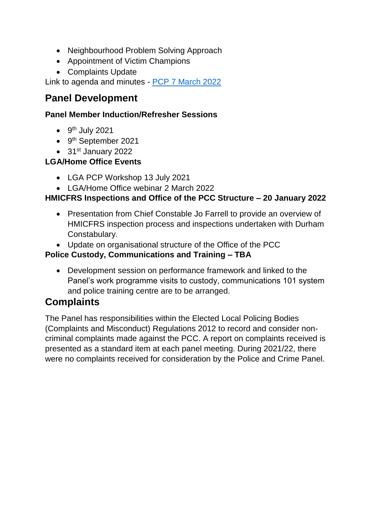- Neighbourhood Problem Solving Approach
- Appointment of Victim Champions
- Complaints Update

Link to agenda and minutes - [PCP 7 March 2022](PCP%207%20March%202022)

### **Panel Development**

### **Panel Member Induction/Refresher Sessions**

- $\bullet$  9<sup>th</sup> July 2021
- 9<sup>th</sup> September 2021
- $\bullet$  31st January 2022

### **LGA/Home Office Events**

- LGA PCP Workshop 13 July 2021
- LGA/Home Office webinar 2 March 2022

### **HMICFRS Inspections and Office of the PCC Structure – 20 January 2022**

- Presentation from Chief Constable Jo Farrell to provide an overview of HMICFRS inspection process and inspections undertaken with Durham Constabulary.
- Update on organisational structure of the Office of the PCC

### **Police Custody, Communications and Training – TBA**

 Development session on performance framework and linked to the Panel's work programme visits to custody, communications 101 system and police training centre are to be arranged.

### **Complaints**

The Panel has responsibilities within the Elected Local Policing Bodies (Complaints and Misconduct) Regulations 2012 to record and consider noncriminal complaints made against the PCC. A report on complaints received is presented as a standard item at each panel meeting. During 2021/22, there were no complaints received for consideration by the Police and Crime Panel.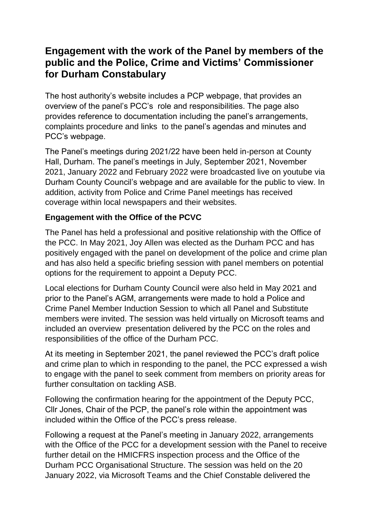### **Engagement with the work of the Panel by members of the public and the Police, Crime and Victims' Commissioner for Durham Constabulary**

The host authority's website includes a PCP webpage, that provides an overview of the panel's PCC's role and responsibilities. The page also provides reference to documentation including the panel's arrangements, complaints procedure and links to the panel's agendas and minutes and PCC's webpage.

The Panel's meetings during 2021/22 have been held in-person at County Hall, Durham. The panel's meetings in July, September 2021, November 2021, January 2022 and February 2022 were broadcasted live on youtube via Durham County Council's webpage and are available for the public to view. In addition, activity from Police and Crime Panel meetings has received coverage within local newspapers and their websites.

### **Engagement with the Office of the PCVC**

The Panel has held a professional and positive relationship with the Office of the PCC. In May 2021, Joy Allen was elected as the Durham PCC and has positively engaged with the panel on development of the police and crime plan and has also held a specific briefing session with panel members on potential options for the requirement to appoint a Deputy PCC.

Local elections for Durham County Council were also held in May 2021 and prior to the Panel's AGM, arrangements were made to hold a Police and Crime Panel Member Induction Session to which all Panel and Substitute members were invited. The session was held virtually on Microsoft teams and included an overview presentation delivered by the PCC on the roles and responsibilities of the office of the Durham PCC.

At its meeting in September 2021, the panel reviewed the PCC's draft police and crime plan to which in responding to the panel, the PCC expressed a wish to engage with the panel to seek comment from members on priority areas for further consultation on tackling ASB.

Following the confirmation hearing for the appointment of the Deputy PCC, Cllr Jones, Chair of the PCP, the panel's role within the appointment was included within the Office of the PCC's press release.

Following a request at the Panel's meeting in January 2022, arrangements with the Office of the PCC for a development session with the Panel to receive further detail on the HMICFRS inspection process and the Office of the Durham PCC Organisational Structure. The session was held on the 20 January 2022, via Microsoft Teams and the Chief Constable delivered the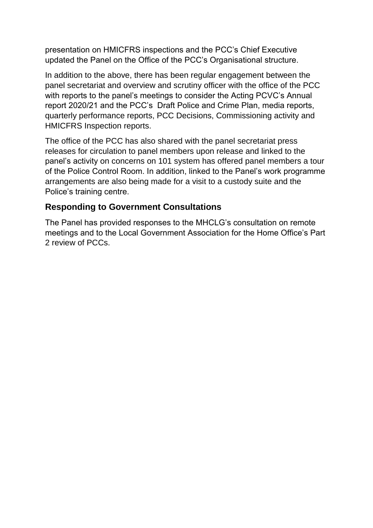presentation on HMICFRS inspections and the PCC's Chief Executive updated the Panel on the Office of the PCC's Organisational structure.

In addition to the above, there has been regular engagement between the panel secretariat and overview and scrutiny officer with the office of the PCC with reports to the panel's meetings to consider the Acting PCVC's Annual report 2020/21 and the PCC's Draft Police and Crime Plan, media reports, quarterly performance reports, PCC Decisions, Commissioning activity and HMICFRS Inspection reports.

The office of the PCC has also shared with the panel secretariat press releases for circulation to panel members upon release and linked to the panel's activity on concerns on 101 system has offered panel members a tour of the Police Control Room. In addition, linked to the Panel's work programme arrangements are also being made for a visit to a custody suite and the Police's training centre.

### **Responding to Government Consultations**

The Panel has provided responses to the MHCLG's consultation on remote meetings and to the Local Government Association for the Home Office's Part 2 review of PCCs.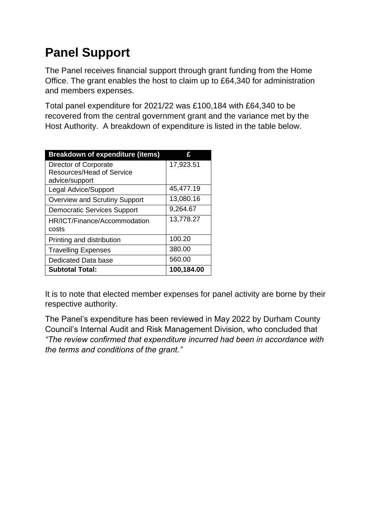# **Panel Support**

The Panel receives financial support through grant funding from the Home Office. The grant enables the host to claim up to £64,340 for administration and members expenses.

Total panel expenditure for 2021/22 was £100,184 with £64,340 to be recovered from the central government grant and the variance met by the Host Authority. A breakdown of expenditure is listed in the table below.

| <b>Breakdown of expenditure (items)</b> | ç          |
|-----------------------------------------|------------|
| Director of Corporate                   | 17,923.51  |
| Resources/Head of Service               |            |
| advice/support                          |            |
| <b>Legal Advice/Support</b>             | 45,477.19  |
| <b>Overview and Scrutiny Support</b>    | 13,080.16  |
| <b>Democratic Services Support</b>      | 9,264.67   |
| HR/ICT/Finance/Accommodation            | 13,778.27  |
| costs                                   |            |
| Printing and distribution               | 100.20     |
| <b>Travelling Expenses</b>              | 380.00     |
| Dedicated Data base                     | 560.00     |
| <b>Subtotal Total:</b>                  | 100,184.00 |

It is to note that elected member expenses for panel activity are borne by their respective authority.

The Panel's expenditure has been reviewed in May 2022 by Durham County Council's Internal Audit and Risk Management Division, who concluded that *"The review confirmed that expenditure incurred had been in accordance with the terms and conditions of the grant."*